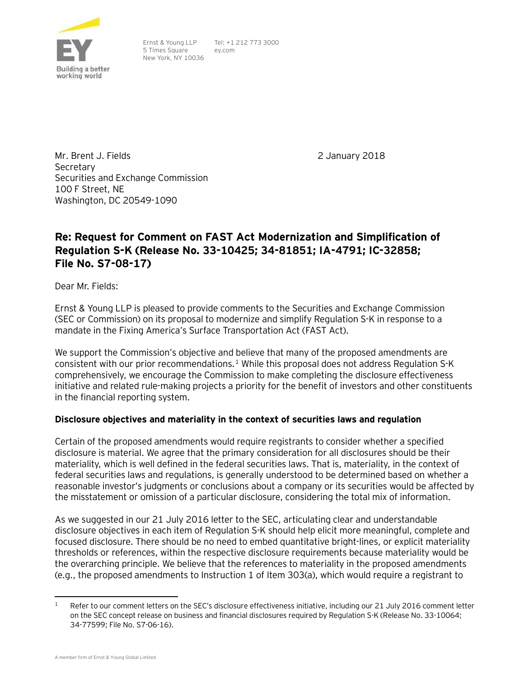

Ernst & Young LLP 5 Times Square New York, NY 10036

Tel: +1 212 773 3000 ey.com

Mr. Brent J. Fields Secretary Securities and Exchange Commission 100 F Street, NE Washington, DC 20549-1090

2 January 2018

# **Re: Request for Comment on FAST Act Modernization and Simplification of Regulation S-K (Release No. 33-10425; 34-81851; IA-4791; IC-32858; File No. S7-08-17)**

Dear Mr. Fields:

Ernst & Young LLP is pleased to provide comments to the Securities and Exchange Commission (SEC or Commission) on its proposal to modernize and simplify Regulation S-K in response to a mandate in the Fixing America's Surface Transportation Act (FAST Act).

We support the Commission's objective and believe that many of the proposed amendments are consistent with our prior recommendations.<sup>[1](#page-0-0)</sup> While this proposal does not address Regulation S-K comprehensively, we encourage the Commission to make completing the disclosure effectiveness initiative and related rule-making projects a priority for the benefit of investors and other constituents in the financial reporting system.

### **Disclosure objectives and materiality in the context of securities laws and regulation**

Certain of the proposed amendments would require registrants to consider whether a specified disclosure is material. We agree that the primary consideration for all disclosures should be their materiality, which is well defined in the federal securities laws. That is, materiality, in the context of federal securities laws and regulations, is generally understood to be determined based on whether a reasonable investor's judgments or conclusions about a company or its securities would be affected by the misstatement or omission of a particular disclosure, considering the total mix of information.

As we suggested in our 21 July 2016 letter to the SEC, articulating clear and understandable disclosure objectives in each item of Regulation S-K should help elicit more meaningful, complete and focused disclosure. There should be no need to embed quantitative bright-lines, or explicit materiality thresholds or references, within the respective disclosure requirements because materiality would be the overarching principle. We believe that the references to materiality in the proposed amendments (e.g., the proposed amendments to Instruction 1 of Item 303(a), which would require a registrant to

<span id="page-0-0"></span><sup>&</sup>lt;sup>1</sup> Refer to our comment letters on the SEC's disclosure effectiveness initiative, including our 21 July 2016 comment letter on the SEC concept release on business and financial disclosures required by Regulation S-K (Release No. 33-10064; 34-77599; File No. S7-06-16).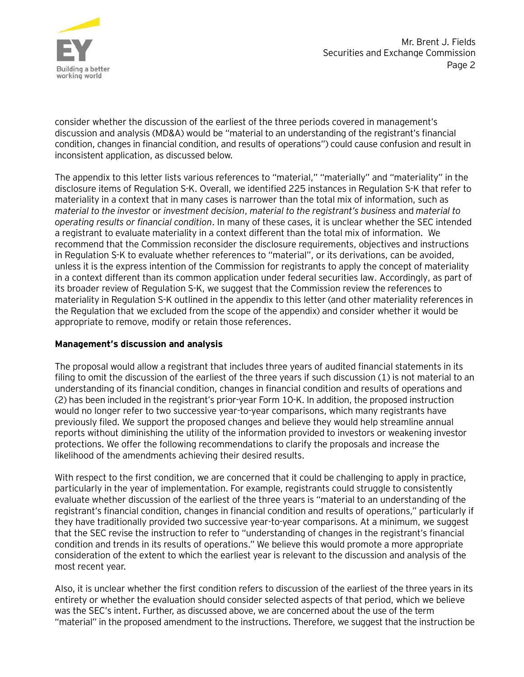

consider whether the discussion of the earliest of the three periods covered in management's discussion and analysis (MD&A) would be "material to an understanding of the registrant's financial condition, changes in financial condition, and results of operations") could cause confusion and result in inconsistent application, as discussed below.

The appendix to this letter lists various references to "material," "materially" and "materiality" in the disclosure items of Regulation S-K. Overall, we identified 225 instances in Regulation S-K that refer to materiality in a context that in many cases is narrower than the total mix of information, such as *material to the investor* or *investment decision*, *material to the registrant's business* and *material to operating results or financial condition*. In many of these cases, it is unclear whether the SEC intended a registrant to evaluate materiality in a context different than the total mix of information. We recommend that the Commission reconsider the disclosure requirements, objectives and instructions in Regulation S-K to evaluate whether references to "material", or its derivations, can be avoided, unless it is the express intention of the Commission for registrants to apply the concept of materiality in a context different than its common application under federal securities law. Accordingly, as part of its broader review of Regulation S-K, we suggest that the Commission review the references to materiality in Regulation S-K outlined in the appendix to this letter (and other materiality references in the Regulation that we excluded from the scope of the appendix) and consider whether it would be appropriate to remove, modify or retain those references.

### **Management's discussion and analysis**

The proposal would allow a registrant that includes three years of audited financial statements in its filing to omit the discussion of the earliest of the three years if such discussion (1) is not material to an understanding of its financial condition, changes in financial condition and results of operations and (2) has been included in the registrant's prior-year Form 10-K. In addition, the proposed instruction would no longer refer to two successive year-to-year comparisons, which many registrants have previously filed. We support the proposed changes and believe they would help streamline annual reports without diminishing the utility of the information provided to investors or weakening investor protections. We offer the following recommendations to clarify the proposals and increase the likelihood of the amendments achieving their desired results.

With respect to the first condition, we are concerned that it could be challenging to apply in practice, particularly in the year of implementation. For example, registrants could struggle to consistently evaluate whether discussion of the earliest of the three years is "material to an understanding of the registrant's financial condition, changes in financial condition and results of operations," particularly if they have traditionally provided two successive year-to-year comparisons. At a minimum, we suggest that the SEC revise the instruction to refer to "understanding of changes in the registrant's financial condition and trends in its results of operations." We believe this would promote a more appropriate consideration of the extent to which the earliest year is relevant to the discussion and analysis of the most recent year.

Also, it is unclear whether the first condition refers to discussion of the earliest of the three years in its entirety or whether the evaluation should consider selected aspects of that period, which we believe was the SEC's intent. Further, as discussed above, we are concerned about the use of the term "material" in the proposed amendment to the instructions. Therefore, we suggest that the instruction be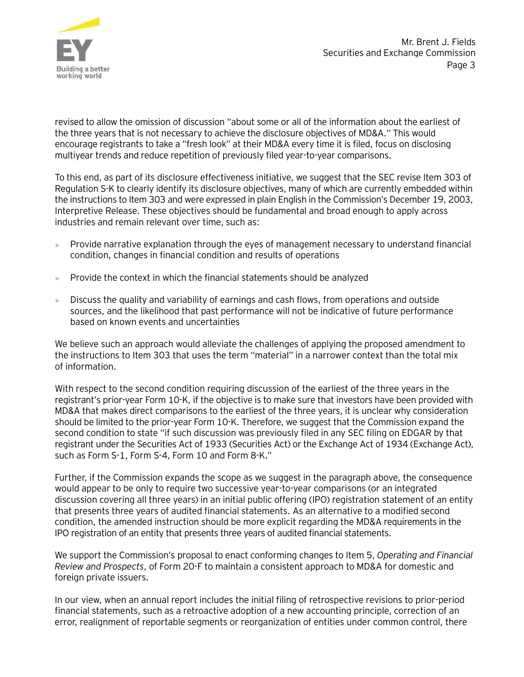

revised to allow the omission of discussion "about some or all of the information about the earliest of the three years that is not necessary to achieve the disclosure objectives of MD&A." This would encourage registrants to take a "fresh look" at their MD&A every time it is filed, focus on disclosing multiyear trends and reduce repetition of previously filed year-to-year comparisons.

To this end, as part of its disclosure effectiveness initiative, we suggest that the SEC revise Item 303 of Regulation S-K to clearly identify its disclosure objectives, many of which are currently embedded within the instructions to Item 303 and were expressed in plain English in the Commission's December 19, 2003, Interpretive Release. These objectives should be fundamental and broad enough to apply across industries and remain relevant over time, such as:

- ► Provide narrative explanation through the eyes of management necessary to understand financial condition, changes in financial condition and results of operations
- $\blacktriangleright$  Provide the context in which the financial statements should be analyzed
- $\blacktriangleright$  Discuss the quality and variability of earnings and cash flows, from operations and outside sources, and the likelihood that past performance will not be indicative of future performance based on known events and uncertainties

We believe such an approach would alleviate the challenges of applying the proposed amendment to the instructions to Item 303 that uses the term "material" in a narrower context than the total mix of information.

With respect to the second condition requiring discussion of the earliest of the three years in the registrant's prior-year Form 10-K, if the objective is to make sure that investors have been provided with MD&A that makes direct comparisons to the earliest of the three years, it is unclear why consideration should be limited to the prior-year Form 10-K. Therefore, we suggest that the Commission expand the second condition to state "if such discussion was previously filed in any SEC filing on EDGAR by that registrant under the Securities Act of 1933 (Securities Act) or the Exchange Act of 1934 (Exchange Act), such as Form S-1, Form S-4, Form 10 and Form 8-K."

Further, if the Commission expands the scope as we suggest in the paragraph above, the consequence would appear to be only to require two successive year-to-year comparisons (or an integrated discussion covering all three years) in an initial public offering (IPO) registration statement of an entity that presents three years of audited financial statements. As an alternative to a modified second condition, the amended instruction should be more explicit regarding the MD&A requirements in the IPO registration of an entity that presents three years of audited financial statements.

We support the Commission's proposal to enact conforming changes to Item 5, *Operating and Financial Review and Prospects*, of Form 20-F to maintain a consistent approach to MD&A for domestic and foreign private issuers.

In our view, when an annual report includes the initial filing of retrospective revisions to prior-period financial statements, such as a retroactive adoption of a new accounting principle, correction of an error, realignment of reportable segments or reorganization of entities under common control, there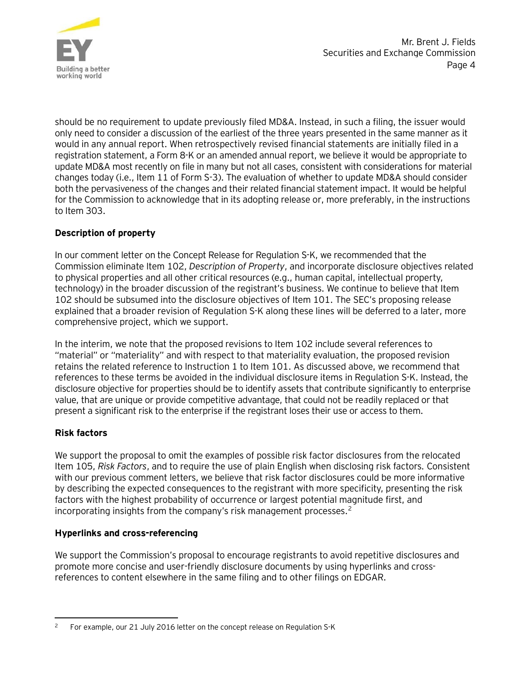

should be no requirement to update previously filed MD&A. Instead, in such a filing, the issuer would only need to consider a discussion of the earliest of the three years presented in the same manner as it would in any annual report. When retrospectively revised financial statements are initially filed in a registration statement, a Form 8-K or an amended annual report, we believe it would be appropriate to update MD&A most recently on file in many but not all cases, consistent with considerations for material changes today (i.e., Item 11 of Form S-3). The evaluation of whether to update MD&A should consider both the pervasiveness of the changes and their related financial statement impact. It would be helpful for the Commission to acknowledge that in its adopting release or, more preferably, in the instructions to Item 303.

### **Description of property**

In our comment letter on the Concept Release for Regulation S-K, we recommended that the Commission eliminate Item 102, *Description of Property*, and incorporate disclosure objectives related to physical properties and all other critical resources (e.g., human capital, intellectual property, technology) in the broader discussion of the registrant's business. We continue to believe that Item 102 should be subsumed into the disclosure objectives of Item 101. The SEC's proposing release explained that a broader revision of Regulation S-K along these lines will be deferred to a later, more comprehensive project, which we support.

In the interim, we note that the proposed revisions to Item 102 include several references to "material" or "materiality" and with respect to that materiality evaluation, the proposed revision retains the related reference to Instruction 1 to Item 101. As discussed above, we recommend that references to these terms be avoided in the individual disclosure items in Regulation S-K. Instead, the disclosure objective for properties should be to identify assets that contribute significantly to enterprise value, that are unique or provide competitive advantage, that could not be readily replaced or that present a significant risk to the enterprise if the registrant loses their use or access to them.

### **Risk factors**

We support the proposal to omit the examples of possible risk factor disclosures from the relocated Item 105, *Risk Factors*, and to require the use of plain English when disclosing risk factors*.* Consistent with our previous comment letters, we believe that risk factor disclosures could be more informative by describing the expected consequences to the registrant with more specificity, presenting the risk factors with the highest probability of occurrence or largest potential magnitude first, and incorporating insights from the company's risk management processes.<sup>[2](#page-3-0)</sup>

### **Hyperlinks and cross-referencing**

We support the Commission's proposal to encourage registrants to avoid repetitive disclosures and promote more concise and user-friendly disclosure documents by using hyperlinks and crossreferences to content elsewhere in the same filing and to other filings on EDGAR.

<span id="page-3-0"></span><sup>&</sup>lt;sup>2</sup> For example, our 21 July 2016 letter on the concept release on Regulation S-K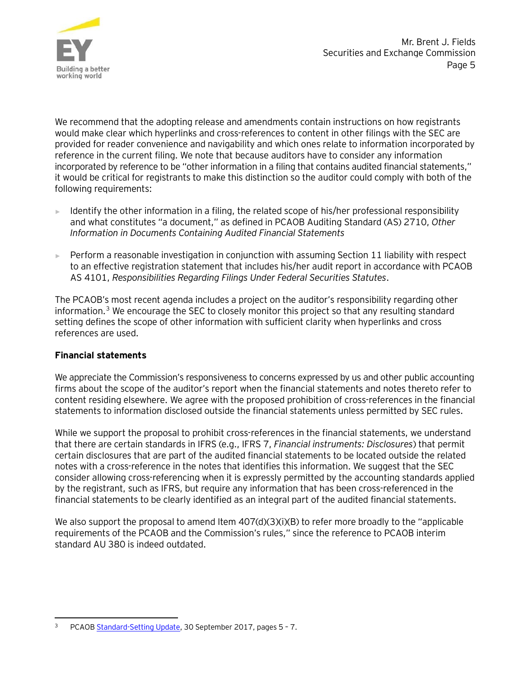

We recommend that the adopting release and amendments contain instructions on how registrants would make clear which hyperlinks and cross-references to content in other filings with the SEC are provided for reader convenience and navigability and which ones relate to information incorporated by reference in the current filing. We note that because auditors have to consider any information incorporated by reference to be "other information in a filing that contains audited financial statements," it would be critical for registrants to make this distinction so the auditor could comply with both of the following requirements:

- ► Identify the other information in a filing, the related scope of his/her professional responsibility and what constitutes "a document," as defined in PCAOB Auditing Standard (AS) 2710, *Other Information in Documents Containing Audited Financial Statements*
- $\blacktriangleright$  Perform a reasonable investigation in conjunction with assuming Section 11 liability with respect to an effective registration statement that includes his/her audit report in accordance with PCAOB AS 4101, *Responsibilities Regarding Filings Under Federal Securities Statutes*.

The PCAOB's most recent agenda includes a project on the auditor's responsibility regarding other information.<sup>[3](#page-4-0)</sup> We encourage the SEC to closely monitor this project so that any resulting standard setting defines the scope of other information with sufficient clarity when hyperlinks and cross references are used.

### **Financial statements**

We appreciate the Commission's responsiveness to concerns expressed by us and other public accounting firms about the scope of the auditor's report when the financial statements and notes thereto refer to content residing elsewhere. We agree with the proposed prohibition of cross-references in the financial statements to information disclosed outside the financial statements unless permitted by SEC rules.

While we support the proposal to prohibit cross-references in the financial statements, we understand that there are certain standards in IFRS (e.g., IFRS 7, *Financial instruments: Disclosures*) that permit certain disclosures that are part of the audited financial statements to be located outside the related notes with a cross-reference in the notes that identifies this information. We suggest that the SEC consider allowing cross-referencing when it is expressly permitted by the accounting standards applied by the registrant, such as IFRS, but require any information that has been cross-referenced in the financial statements to be clearly identified as an integral part of the audited financial statements.

We also support the proposal to amend Item 407(d)(3)(i)(B) to refer more broadly to the "applicable requirements of the PCAOB and the Commission's rules," since the reference to PCAOB interim standard AU 380 is indeed outdated.

<span id="page-4-0"></span> <sup>3</sup> PCAOB [Standard-Setting Update,](https://pcaobus.org/Standards/Documents/Q42017-standard-setting-update.pdf) 30 September 2017, pages 5 – 7.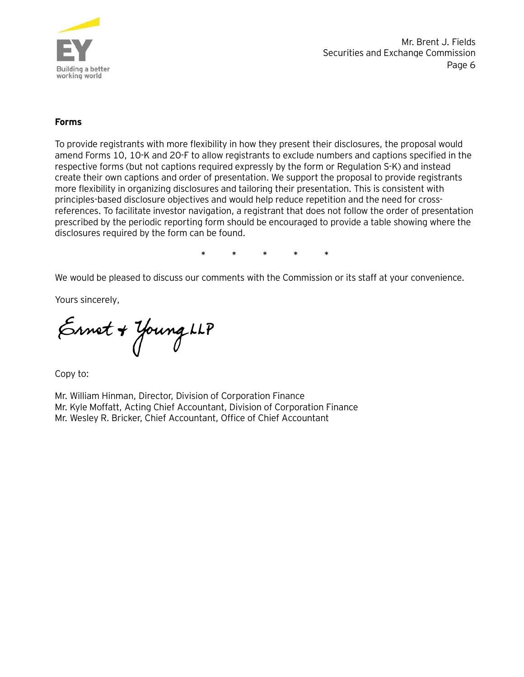

#### **Forms**

To provide registrants with more flexibility in how they present their disclosures, the proposal would amend Forms 10, 10-K and 20-F to allow registrants to exclude numbers and captions specified in the respective forms (but not captions required expressly by the form or Regulation S-K) and instead create their own captions and order of presentation. We support the proposal to provide registrants more flexibility in organizing disclosures and tailoring their presentation. This is consistent with principles-based disclosure objectives and would help reduce repetition and the need for crossreferences. To facilitate investor navigation, a registrant that does not follow the order of presentation prescribed by the periodic reporting form should be encouraged to provide a table showing where the disclosures required by the form can be found.

**\* \* \* \* \***

We would be pleased to discuss our comments with the Commission or its staff at your convenience.

Yours sincerely,

Ernet + Young LLP

Copy to:

Mr. William Hinman, Director, Division of Corporation Finance Mr. Kyle Moffatt, Acting Chief Accountant, Division of Corporation Finance Mr. Wesley R. Bricker, Chief Accountant, Office of Chief Accountant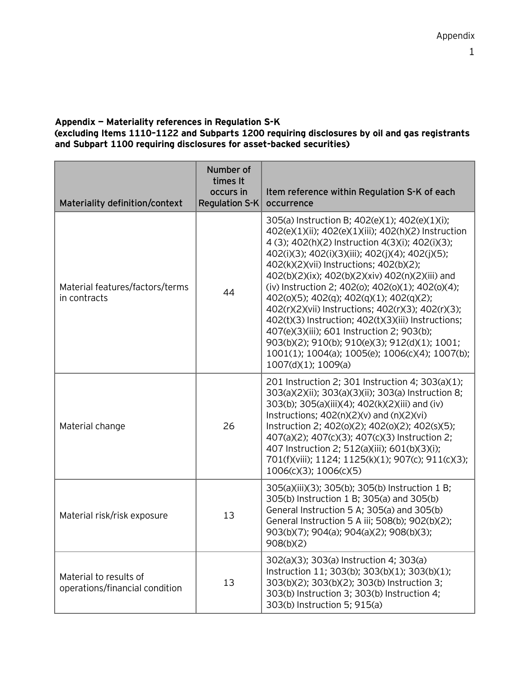## **Appendix — Materiality references in Regulation S-K**

**(excluding Items 1110–1122 and Subparts 1200 requiring disclosures by oil and gas registrants and Subpart 1100 requiring disclosures for asset-backed securities)**

| Materiality definition/context                           | Number of<br>times It<br>occurs in<br><b>Regulation S-K</b> | Item reference within Regulation S-K of each<br>occurrence                                                                                                                                                                                                                                                                                                                                                                                                                                                                                                                                                                                                                                                 |
|----------------------------------------------------------|-------------------------------------------------------------|------------------------------------------------------------------------------------------------------------------------------------------------------------------------------------------------------------------------------------------------------------------------------------------------------------------------------------------------------------------------------------------------------------------------------------------------------------------------------------------------------------------------------------------------------------------------------------------------------------------------------------------------------------------------------------------------------------|
| Material features/factors/terms<br>in contracts          | 44                                                          | 305(a) Instruction B; 402(e)(1); 402(e)(1)(i);<br>402(e)(1)(ii); 402(e)(1)(iii); 402(h)(2) Instruction<br>4 (3); 402(h)(2) Instruction 4(3)(i); 402(i)(3);<br>402(i)(3); 402(i)(3)(iii); 402(j)(4); 402(j)(5);<br>402(k)(2)(vii) Instructions; 402(b)(2);<br>402(b)(2)(ix); 402(b)(2)(xiv) 402(n)(2)(iii) and<br>(iv) Instruction 2; 402(0); 402(0)(1); 402(0)(4);<br>402(o)(5); 402(q); 402(q)(1); 402(q)(2);<br>402(r)(2)(vii) Instructions; 402(r)(3); 402(r)(3);<br>402(t)(3) Instruction; 402(t)(3)(iii) Instructions;<br>407(e)(3)(iii); 601 Instruction 2; 903(b);<br>903(b)(2); 910(b); 910(e)(3); 912(d)(1); 1001;<br>1001(1); 1004(a); 1005(e); 1006(c)(4); 1007(b);<br>$1007(d)(1)$ ; $1009(a)$ |
| Material change                                          | 26                                                          | 201 Instruction 2; 301 Instruction 4; 303(a)(1);<br>303(a)(2)(ii); 303(a)(3)(ii); 303(a) Instruction 8;<br>303(b); 305(a)(iii)(4); 402(k)(2)(iii) and (iv)<br>Instructions; $402(n)(2)(v)$ and $(n)(2)(vi)$<br>Instruction 2; 402(0)(2); 402(0)(2); 402(s)(5);<br>407(a)(2); 407(c)(3); 407(c)(3) Instruction 2;<br>407 Instruction 2; 512(a)(iii); 601(b)(3)(i);<br>701(f)(viii); 1124; 1125(k)(1); 907(c); 911(c)(3);<br>1006(c)(3); 1006(c)(5)                                                                                                                                                                                                                                                          |
| Material risk/risk exposure                              | 13                                                          | 305(a)(iii)(3); 305(b); 305(b) Instruction 1 B;<br>305(b) Instruction 1 B; 305(a) and 305(b)<br>General Instruction 5 A; 305(a) and 305(b)<br>General Instruction 5 A iii; 508(b); 902(b)(2);<br>903(b)(7); 904(a); 904(a)(2); 908(b)(3);<br>908(b)(2)                                                                                                                                                                                                                                                                                                                                                                                                                                                     |
| Material to results of<br>operations/financial condition | 13                                                          | 302(a)(3); 303(a) Instruction 4; 303(a)<br>Instruction 11; 303(b); 303(b)(1); 303(b)(1);<br>303(b)(2); 303(b)(2); 303(b) Instruction 3;<br>303(b) Instruction 3; 303(b) Instruction 4;<br>303(b) Instruction 5; 915(a)                                                                                                                                                                                                                                                                                                                                                                                                                                                                                     |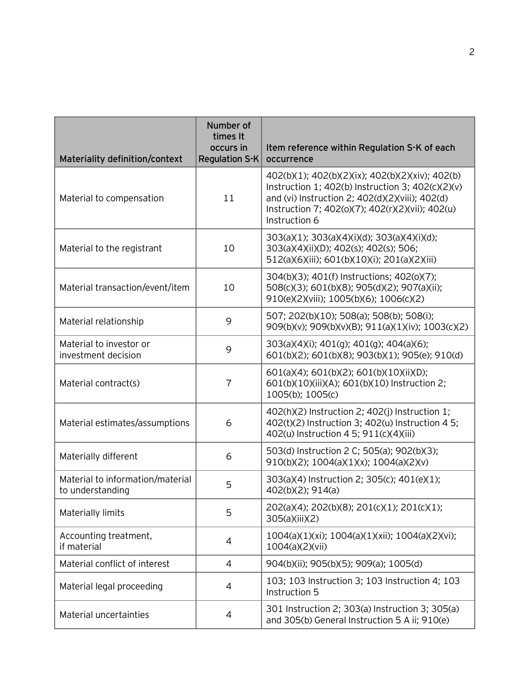| Materiality definition/context                       | Number of<br>times It<br>occurs in<br><b>Regulation S-K</b> | Item reference within Regulation S-K of each<br>occurrence                                                                                                                                                                    |
|------------------------------------------------------|-------------------------------------------------------------|-------------------------------------------------------------------------------------------------------------------------------------------------------------------------------------------------------------------------------|
| Material to compensation                             | 11                                                          | 402(b)(1); 402(b)(2)(ix); 402(b)(2)(xiv); 402(b)<br>Instruction 1; 402(b) Instruction 3; 402(c)(2)(v)<br>and (vi) Instruction 2; 402(d)(2)(viii); 402(d)<br>Instruction 7; 402(o)(7); 402(r)(2)(vii); 402(u)<br>Instruction 6 |
| Material to the registrant                           | 10                                                          | 303(a)(1); 303(a)(4)(i)(d); 303(a)(4)(i)(d);<br>303(a)(4)(ii)(D); 402(s); 402(s); 506;<br>512(a)(6)(iii); 601(b)(10)(i); 201(a)(2)(iii)                                                                                       |
| Material transaction/event/item                      | 10                                                          | 304(b)(3); 401(f) Instructions; 402(o)(7);<br>508(c)(3); 601(b)(8); 905(d)(2); 907(a)(ii);<br>910(e)(2)(viii); 1005(b)(6); 1006(c)(2)                                                                                         |
| Material relationship                                | 9                                                           | 507; 202(b)(10); 508(a); 508(b); 508(i);<br>909(b)(v); 909(b)(v)(B); 911(a)(1)(iv); 1003(c)(2)                                                                                                                                |
| Material to investor or<br>investment decision       | 9                                                           | 303(a)(4)(i); 401(g); 401(g); 404(a)(6);<br>601(b)(2); 601(b)(8); 903(b)(1); 905(e); 910(d)                                                                                                                                   |
| Material contract(s)                                 | $\overline{7}$                                              | 601(a)(4); 601(b)(2); 601(b)(10)(ii)(D);<br>601(b)(10)(iii)(A); 601(b)(10) Instruction 2;<br>1005(b); 1005(c)                                                                                                                 |
| Material estimates/assumptions                       | 6                                                           | 402(h)(2) Instruction 2; 402(j) Instruction 1;<br>402(t)(2) Instruction 3; 402(u) Instruction 4 5;<br>402(u) Instruction 4 5; 911(c)(4)(iii)                                                                                  |
| Materially different                                 | 6                                                           | 503(d) Instruction 2 C; 505(a); 902(b)(3);<br>910(b)(2); 1004(a)(1)(x); 1004(a)(2)(v)                                                                                                                                         |
| Material to information/material<br>to understanding | 5                                                           | 303(a)(4) Instruction 2; 305(c); 401(e)(1);<br>402(b)(2); 914(a)                                                                                                                                                              |
| Materially limits                                    | 5                                                           | 202(a)(4); 202(b)(8); 201(c)(1); 201(c)(1);<br>305(a)(iii)(2)                                                                                                                                                                 |
| Accounting treatment,<br>if material                 | 4                                                           | 1004(a)(1)(xi); 1004(a)(1)(xii); 1004(a)(2)(vi);<br>1004(a)(2)(vii)                                                                                                                                                           |
| Material conflict of interest                        | $\overline{4}$                                              | 904(b)(ii); 905(b)(5); 909(a); 1005(d)                                                                                                                                                                                        |
| Material legal proceeding                            | 4                                                           | 103; 103 Instruction 3; 103 Instruction 4; 103<br>Instruction 5                                                                                                                                                               |
| Material uncertainties                               | $\overline{4}$                                              | 301 Instruction 2; 303(a) Instruction 3; 305(a)<br>and 305(b) General Instruction 5 A ii; 910(e)                                                                                                                              |